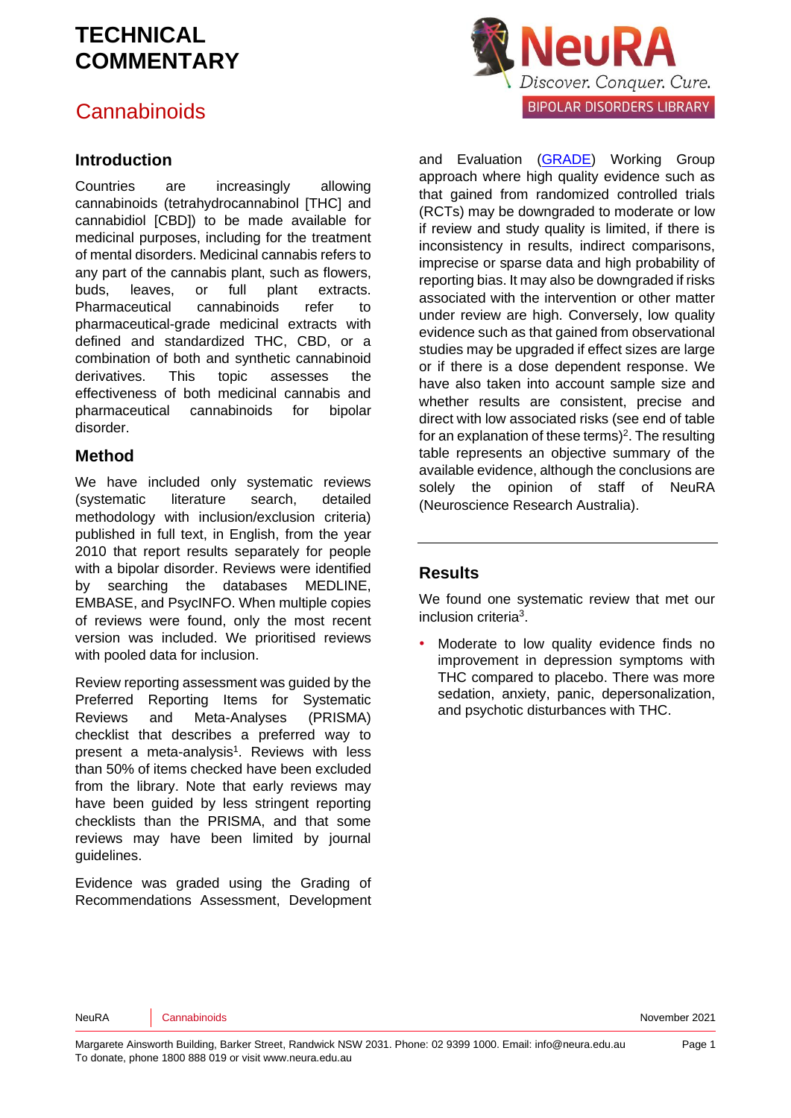#### **Cannabinoids**

#### **Introduction**

Countries are increasingly allowing cannabinoids (tetrahydrocannabinol [THC] and cannabidiol [CBD]) to be made available for medicinal purposes, including for the treatment of mental disorders. Medicinal cannabis refers to any part of the cannabis plant, such as flowers, buds, leaves, or full plant extracts. Pharmaceutical cannabinoids refer to pharmaceutical-grade medicinal extracts with defined and standardized THC, CBD, or a combination of both and synthetic cannabinoid derivatives. This topic assesses the effectiveness of both medicinal cannabis and pharmaceutical cannabinoids for bipolar disorder.

#### **Method**

We have included only systematic reviews (systematic literature search, detailed methodology with inclusion/exclusion criteria) published in full text, in English, from the year 2010 that report results separately for people with a bipolar disorder. Reviews were identified by searching the databases MEDLINE, EMBASE, and PsycINFO. When multiple copies of reviews were found, only the most recent version was included. We prioritised reviews with pooled data for inclusion.

Review reporting assessment was guided by the Preferred Reporting Items for Systematic Reviews and Meta-Analyses (PRISMA) checklist that describes a preferred way to pre[s](#page-4-0)ent a meta-analysis<sup>1</sup>. Reviews with less than 50% of items checked have been excluded from the library. Note that early reviews may have been guided by less stringent reporting checklists than the PRISMA, and that some reviews may have been limited by journal guidelines.

Evidence was graded using the Grading of Recommendations Assessment, Development



and Evaluation [\(GRADE\)](http://www.gradeworkinggroup.org/) Working Group approach where high quality evidence such as that gained from randomized controlled trials (RCTs) may be downgraded to moderate or low if review and study quality is limited, if there is inconsistency in results, indirect comparisons, imprecise or sparse data and high probability of reporting bias. It may also be downgraded if risks associated with the intervention or other matter under review are high. Conversely, low quality evidence such as that gained from observational studies may be upgraded if effect sizes are large or if there is a dose dependent response. We have also taken into account sample size and whether results are consistent, precise and direct with low associated risks (see end of table for an explanation of these terms) $2$ . The resulting table represents an objective summary of the available evidence, although the conclusions are solely the opinion of staff of NeuRA (Neuroscience Research Australia).

#### **Results**

We found one systematic review that met our inclusion criteri[a](#page-4-2)<sup>3</sup> .

Moderate to low quality evidence finds no improvement in depression symptoms with THC compared to placebo. There was more sedation, anxiety, panic, depersonalization, and psychotic disturbances with THC.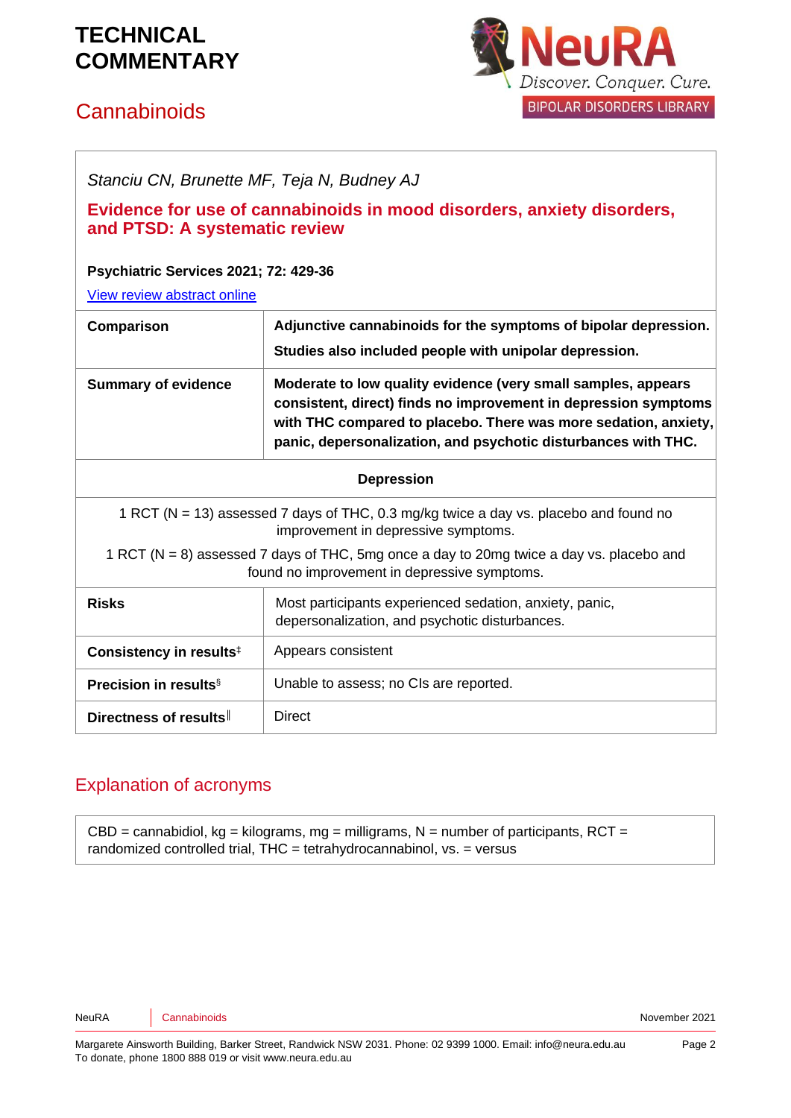# **Cannabinoids**



*Stanciu CN, Brunette MF, Teja N, Budney AJ*

#### **Evidence for use of cannabinoids in mood disorders, anxiety disorders, and PTSD: A systematic review**

#### **Psychiatric Services 2021; 72: 429-36**

[View review abstract online](https://ps.psychiatryonline.org/doi/abs/10.1176/appi.ps.202000189) 

| Comparison                                                                                                                               | Adjunctive cannabinoids for the symptoms of bipolar depression.<br>Studies also included people with unipolar depression.                                                                                                                                             |
|------------------------------------------------------------------------------------------------------------------------------------------|-----------------------------------------------------------------------------------------------------------------------------------------------------------------------------------------------------------------------------------------------------------------------|
| <b>Summary of evidence</b>                                                                                                               | Moderate to low quality evidence (very small samples, appears<br>consistent, direct) finds no improvement in depression symptoms<br>with THC compared to placebo. There was more sedation, anxiety,<br>panic, depersonalization, and psychotic disturbances with THC. |
| <b>Depression</b>                                                                                                                        |                                                                                                                                                                                                                                                                       |
| 1 RCT (N = 13) assessed 7 days of THC, 0.3 mg/kg twice a day vs. placebo and found no<br>improvement in depressive symptoms.             |                                                                                                                                                                                                                                                                       |
| 1 RCT (N = 8) assessed 7 days of THC, 5mg once a day to 20mg twice a day vs. placebo and<br>found no improvement in depressive symptoms. |                                                                                                                                                                                                                                                                       |
| <b>Risks</b>                                                                                                                             | Most participants experienced sedation, anxiety, panic,<br>depersonalization, and psychotic disturbances.                                                                                                                                                             |
| Consistency in results <sup>‡</sup>                                                                                                      | Appears consistent                                                                                                                                                                                                                                                    |
| <b>Precision in results</b> <sup>§</sup>                                                                                                 | Unable to assess; no CIs are reported.                                                                                                                                                                                                                                |
| Directness of results                                                                                                                    | Direct                                                                                                                                                                                                                                                                |

#### Explanation of acronyms

 $CBD =$  cannabidiol, kg = kilograms, mg = milligrams, N = number of participants, RCT = randomized controlled trial, THC = tetrahydrocannabinol, vs. = versus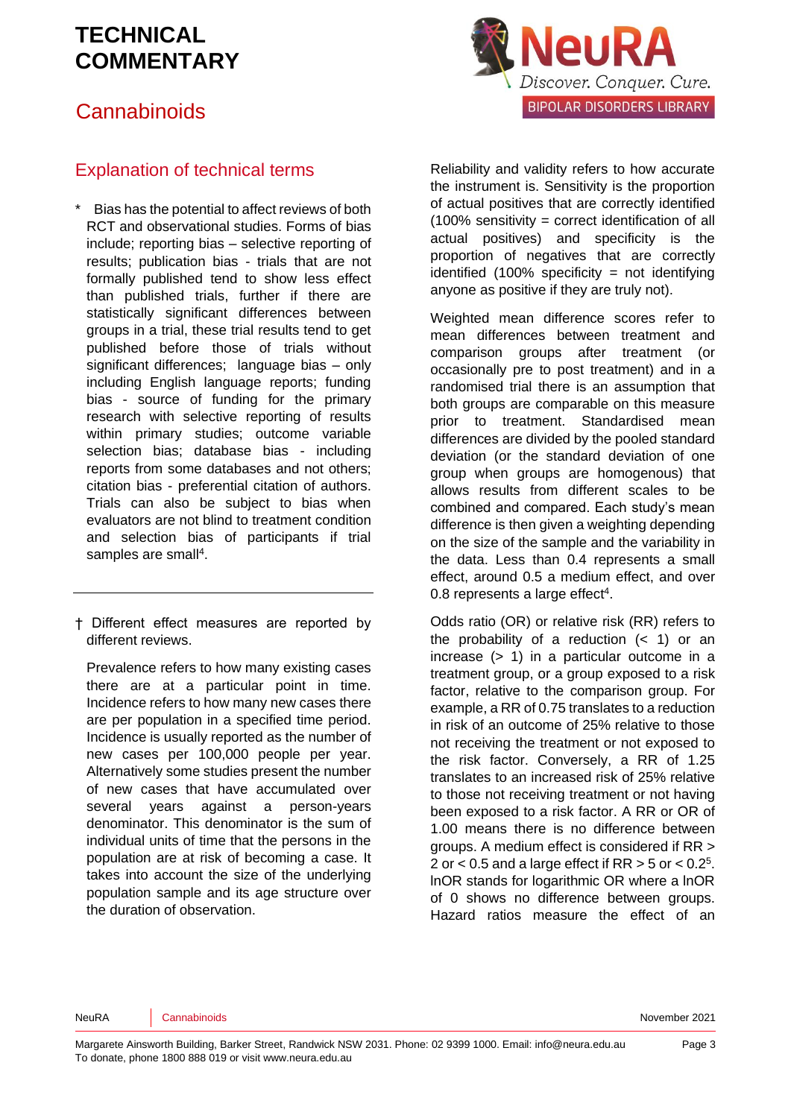#### **Cannabinoids**



#### Explanation of technical terms

Bias has the potential to affect reviews of both RCT and observational studies. Forms of bias include; reporting bias – selective reporting of results; publication bias - trials that are not formally published tend to show less effect than published trials, further if there are statistically significant differences between groups in a trial, these trial results tend to get published before those of trials without significant differences; language bias – only including English language reports; funding bias - source of funding for the primary research with selective reporting of results within primary studies; outcome variable selection bias; database bias - including reports from some databases and not others; citation bias - preferential citation of authors. Trials can also be subject to bias when evaluators are not blind to treatment condition and selection bias of participants if trial samples are small<sup>[4](#page-4-3)</sup>.

† Different effect measures are reported by different reviews.

Prevalence refers to how many existing cases there are at a particular point in time. Incidence refers to how many new cases there are per population in a specified time period. Incidence is usually reported as the number of new cases per 100,000 people per year. Alternatively some studies present the number of new cases that have accumulated over several years against a person-years denominator. This denominator is the sum of individual units of time that the persons in the population are at risk of becoming a case. It takes into account the size of the underlying population sample and its age structure over the duration of observation.

Reliability and validity refers to how accurate the instrument is. Sensitivity is the proportion of actual positives that are correctly identified (100% sensitivity = correct identification of all actual positives) and specificity is the proportion of negatives that are correctly identified  $(100\%$  specificity = not identifying anyone as positive if they are truly not).

Weighted mean difference scores refer to mean differences between treatment and comparison groups after treatment (or occasionally pre to post treatment) and in a randomised trial there is an assumption that both groups are comparable on this measure prior to treatment. Standardised mean differences are divided by the pooled standard deviation (or the standard deviation of one group when groups are homogenous) that allows results from different scales to be combined and compared. Each study's mean difference is then given a weighting depending on the size of the sample and the variability in the data. Less than 0.4 represents a small effect, around 0.5 a medium effect, and over 0.8 represents a large effe[ct](#page-4-3)<sup>4</sup>.

Odds ratio (OR) or relative risk (RR) refers to the probability of a reduction  $($   $<$  1) or an increase (> 1) in a particular outcome in a treatment group, or a group exposed to a risk factor, relative to the comparison group. For example, a RR of 0.75 translates to a reduction in risk of an outcome of 25% relative to those not receiving the treatment or not exposed to the risk factor. Conversely, a RR of 1.25 translates to an increased risk of 25% relative to those not receiving treatment or not having been exposed to a risk factor. A RR or OR of 1.00 means there is no difference between groups. A medium effect is considered if RR > [2](#page-4-4) or  $<$  0.5 and a large effect if RR  $>$  5 or  $<$  0.2<sup>5</sup>. lnOR stands for logarithmic OR where a lnOR of 0 shows no difference between groups. Hazard ratios measure the effect of an

NeuRA Cannabinoids **Community** Cannabinoids **November 2021**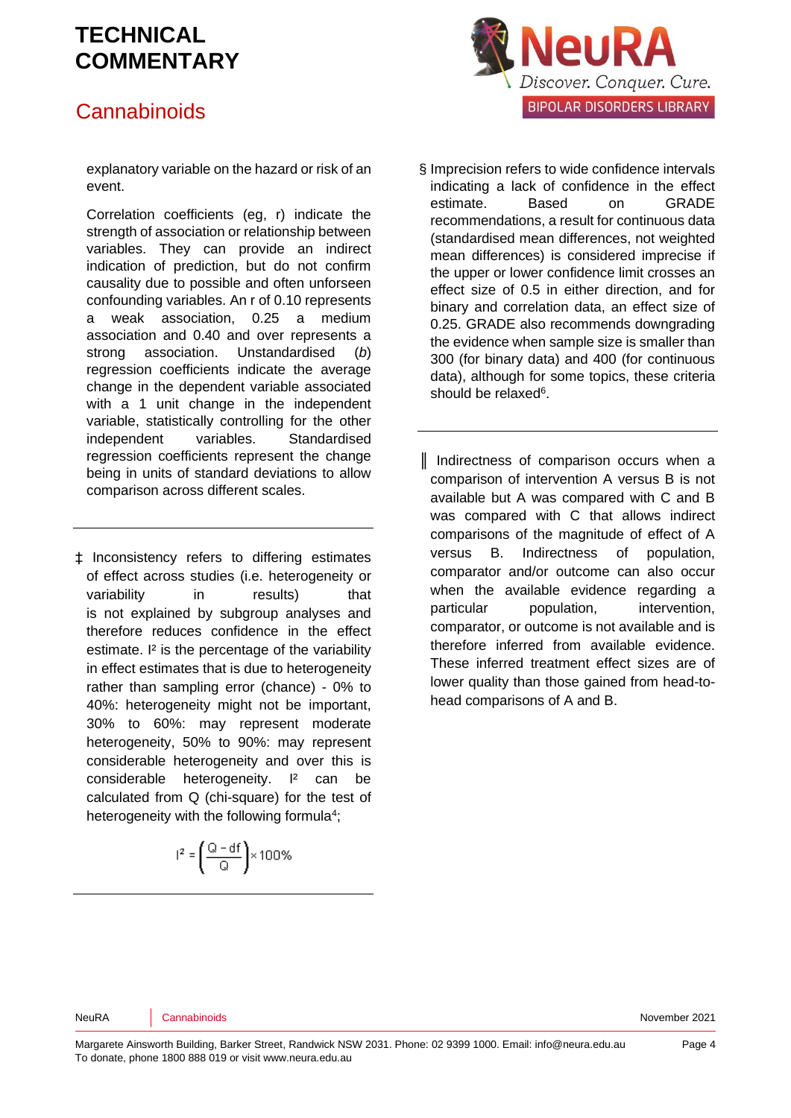### **Cannabinoids**



explanatory variable on the hazard or risk of an event.

Correlation coefficients (eg, r) indicate the strength of association or relationship between variables. They can provide an indirect indication of prediction, but do not confirm causality due to possible and often unforseen confounding variables. An r of 0.10 represents a weak association, 0.25 a medium association and 0.40 and over represents a strong association. Unstandardised (*b*) regression coefficients indicate the average change in the dependent variable associated with a 1 unit change in the independent variable, statistically controlling for the other independent variables. Standardised regression coefficients represent the change being in units of standard deviations to allow comparison across different scales.

‡ Inconsistency refers to differing estimates of effect across studies (i.e. heterogeneity or variability in results) that is not explained by subgroup analyses and therefore reduces confidence in the effect estimate. <sup>12</sup> is the percentage of the variability in effect estimates that is due to heterogeneity rather than sampling error (chance) - 0% to 40%: heterogeneity might not be important, 30% to 60%: may represent moderate heterogeneity, 50% to 90%: may represent considerable heterogeneity and over this is considerable heterogeneity. I² can be calculated from Q (chi-square) for the test of heterogeneity with the following formul[a](#page-4-3)<sup>4</sup>;

# $\label{eq:12} \mathsf{I}^2 = \left(\frac{\mathsf{Q}-\mathsf{df}}{\mathsf{Q}}\right) \!\times\! 100\%\,$

- § Imprecision refers to wide confidence intervals indicating a lack of confidence in the effect estimate. Based on GRADE recommendations, a result for continuous data (standardised mean differences, not weighted mean differences) is considered imprecise if the upper or lower confidence limit crosses an effect size of 0.5 in either direction, and for binary and correlation data, an effect size of 0.25. GRADE also recommends downgrading the evidence when sample size is smaller than 300 (for binary data) and 400 (for continuous data), although for some topics, these criteria should be relaxed<sup>[6](#page-4-5)</sup>.
- ║ Indirectness of comparison occurs when a comparison of intervention A versus B is not available but A was compared with C and B was compared with C that allows indirect comparisons of the magnitude of effect of A versus B. Indirectness of population, comparator and/or outcome can also occur when the available evidence regarding a particular population, intervention, comparator, or outcome is not available and is therefore inferred from available evidence. These inferred treatment effect sizes are of lower quality than those gained from head-tohead comparisons of A and B.

NeuRA Cannabinoids **Cannabinoids** Cannabinoids **November 2021**